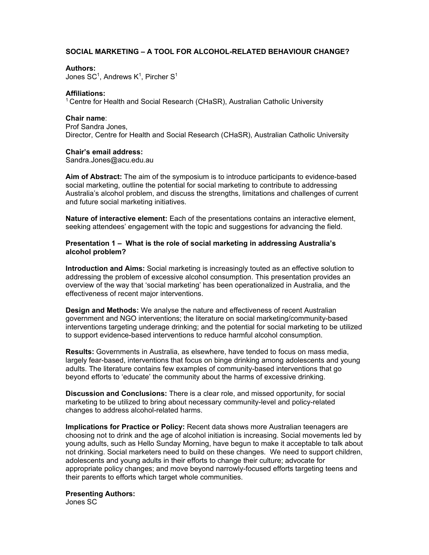# **SOCIAL MARKETING – A TOOL FOR ALCOHOL-RELATED BEHAVIOUR CHANGE?**

### **Authors:**

Jones SC<sup>1</sup>, Andrews K<sup>1</sup>, Pircher S<sup>1</sup>

### **Affiliations:**

1 Centre for Health and Social Research (CHaSR), Australian Catholic University

### **Chair name**:

Prof Sandra Jones, Director, Centre for Health and Social Research (CHaSR), Australian Catholic University

### **Chair's email address:**

Sandra.Jones@acu.edu.au

**Aim of Abstract:** The aim of the symposium is to introduce participants to evidence-based social marketing, outline the potential for social marketing to contribute to addressing Australia's alcohol problem, and discuss the strengths, limitations and challenges of current and future social marketing initiatives.

**Nature of interactive element:** Each of the presentations contains an interactive element, seeking attendees' engagement with the topic and suggestions for advancing the field.

## **Presentation 1 – What is the role of social marketing in addressing Australia's alcohol problem?**

**Introduction and Aims:** Social marketing is increasingly touted as an effective solution to addressing the problem of excessive alcohol consumption. This presentation provides an overview of the way that 'social marketing' has been operationalized in Australia, and the effectiveness of recent major interventions.

**Design and Methods:** We analyse the nature and effectiveness of recent Australian government and NGO interventions; the literature on social marketing/community-based interventions targeting underage drinking; and the potential for social marketing to be utilized to support evidence-based interventions to reduce harmful alcohol consumption.

**Results:** Governments in Australia, as elsewhere, have tended to focus on mass media, largely fear-based, interventions that focus on binge drinking among adolescents and young adults. The literature contains few examples of community-based interventions that go beyond efforts to 'educate' the community about the harms of excessive drinking.

**Discussion and Conclusions:** There is a clear role, and missed opportunity, for social marketing to be utilized to bring about necessary community-level and policy-related changes to address alcohol-related harms.

**Implications for Practice or Policy:** Recent data shows more Australian teenagers are choosing not to drink and the age of alcohol initiation is increasing. Social movements led by young adults, such as Hello Sunday Morning, have begun to make it acceptable to talk about not drinking. Social marketers need to build on these changes. We need to support children, adolescents and young adults in their efforts to change their culture; advocate for appropriate policy changes; and move beyond narrowly-focused efforts targeting teens and their parents to efforts which target whole communities.

# **Presenting Authors:**

Jones SC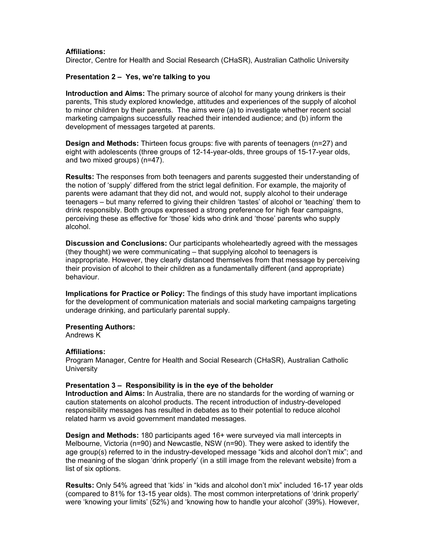# **Affiliations:**

Director, Centre for Health and Social Research (CHaSR), Australian Catholic University

# **Presentation 2 – Yes, we're talking to you**

**Introduction and Aims:** The primary source of alcohol for many young drinkers is their parents, This study explored knowledge, attitudes and experiences of the supply of alcohol to minor children by their parents. The aims were (a) to investigate whether recent social marketing campaigns successfully reached their intended audience; and (b) inform the development of messages targeted at parents.

**Design and Methods:** Thirteen focus groups: five with parents of teenagers (n=27) and eight with adolescents (three groups of 12-14-year-olds, three groups of 15-17-year olds, and two mixed groups) (n=47).

**Results:** The responses from both teenagers and parents suggested their understanding of the notion of 'supply' differed from the strict legal definition. For example, the majority of parents were adamant that they did not, and would not, supply alcohol to their underage teenagers – but many referred to giving their children 'tastes' of alcohol or 'teaching' them to drink responsibly. Both groups expressed a strong preference for high fear campaigns, perceiving these as effective for 'those' kids who drink and 'those' parents who supply alcohol.

**Discussion and Conclusions:** Our participants wholeheartedly agreed with the messages (they thought) we were communicating – that supplying alcohol to teenagers is inappropriate. However, they clearly distanced themselves from that message by perceiving their provision of alcohol to their children as a fundamentally different (and appropriate) behaviour.

**Implications for Practice or Policy:** The findings of this study have important implications for the development of communication materials and social marketing campaigns targeting underage drinking, and particularly parental supply.

## **Presenting Authors:**

Andrews K

## **Affiliations:**

Program Manager, Centre for Health and Social Research (CHaSR), Australian Catholic **University** 

## **Presentation 3 – Responsibility is in the eye of the beholder**

**Introduction and Aims:** In Australia, there are no standards for the wording of warning or caution statements on alcohol products. The recent introduction of industry-developed responsibility messages has resulted in debates as to their potential to reduce alcohol related harm vs avoid government mandated messages.

**Design and Methods:** 180 participants aged 16+ were surveyed via mall intercepts in Melbourne, Victoria (n=90) and Newcastle, NSW (n=90). They were asked to identify the age group(s) referred to in the industry-developed message "kids and alcohol don't mix"; and the meaning of the slogan 'drink properly' (in a still image from the relevant website) from a list of six options.

**Results:** Only 54% agreed that 'kids' in "kids and alcohol don't mix" included 16-17 year olds (compared to 81% for 13-15 year olds). The most common interpretations of 'drink properly' were 'knowing your limits' (52%) and 'knowing how to handle your alcohol' (39%). However,